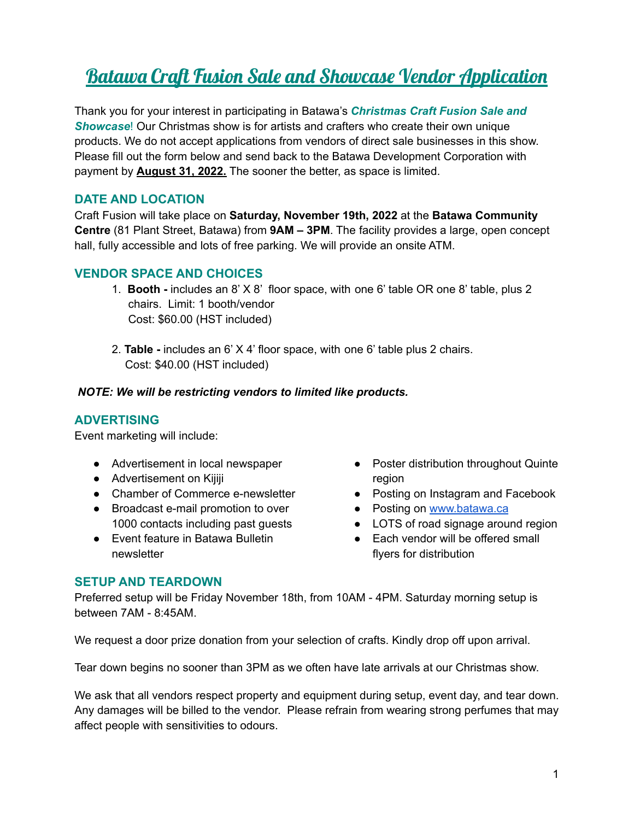# Batawa Craft Fusion Sale and Showcase Vendor Application

Thank you for your interest in participating in Batawa's *Christmas Craft Fusion Sale and Showcase*! Our Christmas show is for artists and crafters who create their own unique products. We do not accept applications from vendors of direct sale businesses in this show. Please fill out the form below and send back to the Batawa Development Corporation with payment by **August 31, 2022.** The sooner the better, as space is limited.

## **DATE AND LOCATION**

Craft Fusion will take place on **Saturday, November 19th, 2022** at the **Batawa Community Centre** (81 Plant Street, Batawa) from **9AM – 3PM**. The facility provides a large, open concept hall, fully accessible and lots of free parking. We will provide an onsite ATM.

### **VENDOR SPACE AND CHOICES**

- 1. **Booth -** includes an 8' X 8' floor space, with one 6' table OR one 8' table, plus 2 chairs. Limit: 1 booth/vendor Cost: \$60.00 (HST included)
- 2. **Table -** includes an 6' X 4' floor space, with one 6' table plus 2 chairs. Cost: \$40.00 (HST included)

#### *NOTE: We will be restricting vendors to limited like products.*

#### **ADVERTISING**

Event marketing will include:

- Advertisement in local newspaper
- Advertisement on Kijiji
- Chamber of Commerce e-newsletter
- Broadcast e-mail promotion to over 1000 contacts including past guests
- Event feature in Batawa Bulletin newsletter
- Poster distribution throughout Quinte region
- Posting on Instagram and Facebook
- Posting on [www.batawa.ca](http://www.batawa.ca)
- LOTS of road signage around region
- Each vendor will be offered small flyers for distribution

#### **SETUP AND TEARDOWN**

Preferred setup will be Friday November 18th, from 10AM - 4PM. Saturday morning setup is between 7AM - 8:45AM.

We request a door prize donation from your selection of crafts. Kindly drop off upon arrival.

Tear down begins no sooner than 3PM as we often have late arrivals at our Christmas show.

We ask that all vendors respect property and equipment during setup, event day, and tear down. Any damages will be billed to the vendor. Please refrain from wearing strong perfumes that may affect people with sensitivities to odours.